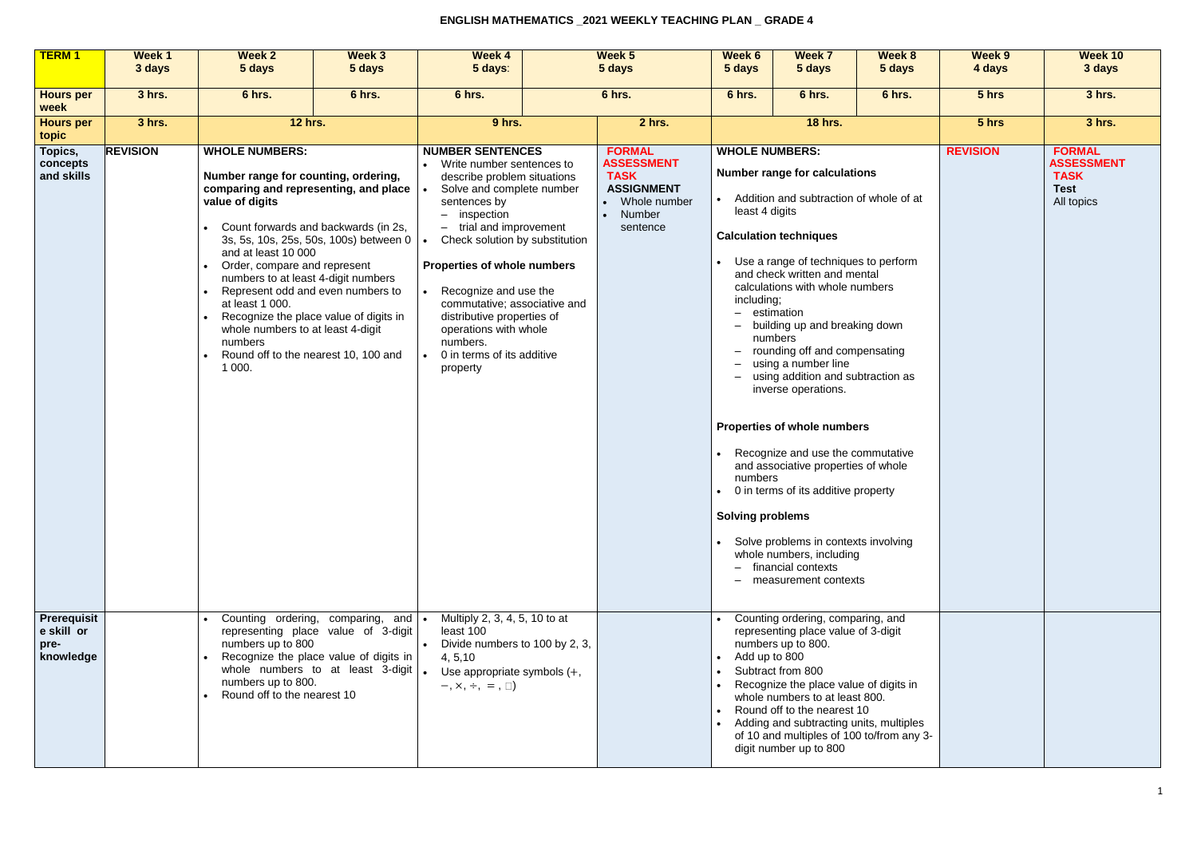| <b>TERM1</b>                                   | Week 1<br>3 days | <b>Week 2</b><br>5 days                                                                                                                                                                                              | Week 3<br>5 days                                                                                                                                                                                                                                                                      | <b>Week 4</b><br>5 days:                                                                                                                                                                                                                                                                                                                                                                                           | Week <sub>5</sub><br>5 days                                                                                    | <b>Week 6</b><br>5 days                                                                                       | <b>Week 7</b><br>5 days                                                                                                                                                                                                                                                                                                                                                                                                                                                                                                                                                                                                                                                        | Week 8<br>5 days | Week 9<br>4 days | <b>Week 10</b><br>3 days                                                       |
|------------------------------------------------|------------------|----------------------------------------------------------------------------------------------------------------------------------------------------------------------------------------------------------------------|---------------------------------------------------------------------------------------------------------------------------------------------------------------------------------------------------------------------------------------------------------------------------------------|--------------------------------------------------------------------------------------------------------------------------------------------------------------------------------------------------------------------------------------------------------------------------------------------------------------------------------------------------------------------------------------------------------------------|----------------------------------------------------------------------------------------------------------------|---------------------------------------------------------------------------------------------------------------|--------------------------------------------------------------------------------------------------------------------------------------------------------------------------------------------------------------------------------------------------------------------------------------------------------------------------------------------------------------------------------------------------------------------------------------------------------------------------------------------------------------------------------------------------------------------------------------------------------------------------------------------------------------------------------|------------------|------------------|--------------------------------------------------------------------------------|
|                                                |                  |                                                                                                                                                                                                                      |                                                                                                                                                                                                                                                                                       |                                                                                                                                                                                                                                                                                                                                                                                                                    |                                                                                                                |                                                                                                               |                                                                                                                                                                                                                                                                                                                                                                                                                                                                                                                                                                                                                                                                                |                  |                  |                                                                                |
| <b>Hours per</b><br>week                       | 3 hrs.           | 6 hrs.                                                                                                                                                                                                               | 6 hrs.                                                                                                                                                                                                                                                                                | 6 hrs.                                                                                                                                                                                                                                                                                                                                                                                                             | 6 hrs.                                                                                                         | 6 hrs.<br>6 hrs.                                                                                              |                                                                                                                                                                                                                                                                                                                                                                                                                                                                                                                                                                                                                                                                                | 6 hrs.           | 5 hrs            | 3 hrs.                                                                         |
| <b>Hours per</b><br>topic                      | 3 hrs.           | <b>12 hrs.</b>                                                                                                                                                                                                       |                                                                                                                                                                                                                                                                                       | 9 hrs.                                                                                                                                                                                                                                                                                                                                                                                                             | 2 hrs.                                                                                                         |                                                                                                               | <b>18 hrs.</b>                                                                                                                                                                                                                                                                                                                                                                                                                                                                                                                                                                                                                                                                 |                  | 5 hrs            | 3 hrs.                                                                         |
| Topics,<br>concepts<br>and skills              | <b>REVISION</b>  | <b>WHOLE NUMBERS:</b><br>Number range for counting, ordering,<br>value of digits<br>and at least 10 000<br>Order, compare and represent<br>at least 1 000.<br>whole numbers to at least 4-digit<br>numbers<br>1 000. | comparing and representing, and place<br>Count forwards and backwards (in 2s,<br>3s, 5s, 10s, 25s, 50s, 100s) between 0<br>numbers to at least 4-digit numbers<br>Represent odd and even numbers to<br>Recognize the place value of digits in<br>Round off to the nearest 10, 100 and | <b>NUMBER SENTENCES</b><br>Write number sentences to<br>describe problem situations<br>Solve and complete number<br>sentences by<br>- inspection<br>- trial and improvement<br>Check solution by substitution<br>Properties of whole numbers<br>Recognize and use the<br>commutative; associative and<br>distributive properties of<br>operations with whole<br>numbers.<br>0 in terms of its additive<br>property | <b>FORMAL</b><br><b>ASSESSMENT</b><br><b>TASK</b><br><b>ASSIGNMENT</b><br>• Whole number<br>Number<br>sentence | <b>WHOLE NUMBERS:</b><br>least 4 digits<br>including;<br>$-$ estimation<br>numbers<br><b>Solving problems</b> | <b>Number range for calculations</b><br>Addition and subtraction of whole of at<br><b>Calculation techniques</b><br>Use a range of techniques to perform<br>and check written and mental<br>calculations with whole numbers<br>building up and breaking down<br>numbers<br>rounding off and compensating<br>using a number line<br>- using addition and subtraction as<br>inverse operations.<br><b>Properties of whole numbers</b><br>Recognize and use the commutative<br>and associative properties of whole<br>• 0 in terms of its additive property<br>Solve problems in contexts involving<br>whole numbers, including<br>- financial contexts<br>- measurement contexts |                  | <b>REVISION</b>  | <b>FORMAL</b><br><b>ASSESSMENT</b><br><b>TASK</b><br><b>Test</b><br>All topics |
| Prerequisit<br>e skill or<br>pre-<br>knowledge |                  | numbers up to 800<br>numbers up to 800.<br>Round off to the nearest 10                                                                                                                                               | Counting ordering, comparing, and<br>representing place value of 3-digit<br>Recognize the place value of digits in<br>whole numbers to at least 3-digit                                                                                                                               | Multiply 2, 3, 4, 5, 10 to at<br>least 100<br>Divide numbers to 100 by 2, 3,<br>4, 5, 10<br>Use appropriate symbols $(+,$<br>$-$ , $\times$ , $\div$ , $=$ , $\Box$ )                                                                                                                                                                                                                                              |                                                                                                                | Add up to 800                                                                                                 | Counting ordering, comparing, and<br>representing place value of 3-digit<br>numbers up to 800.<br>Subtract from 800<br>Recognize the place value of digits in<br>whole numbers to at least 800.<br>Round off to the nearest 10<br>Adding and subtracting units, multiples<br>of 10 and multiples of 100 to/from any 3-<br>digit number up to 800                                                                                                                                                                                                                                                                                                                               |                  |                  |                                                                                |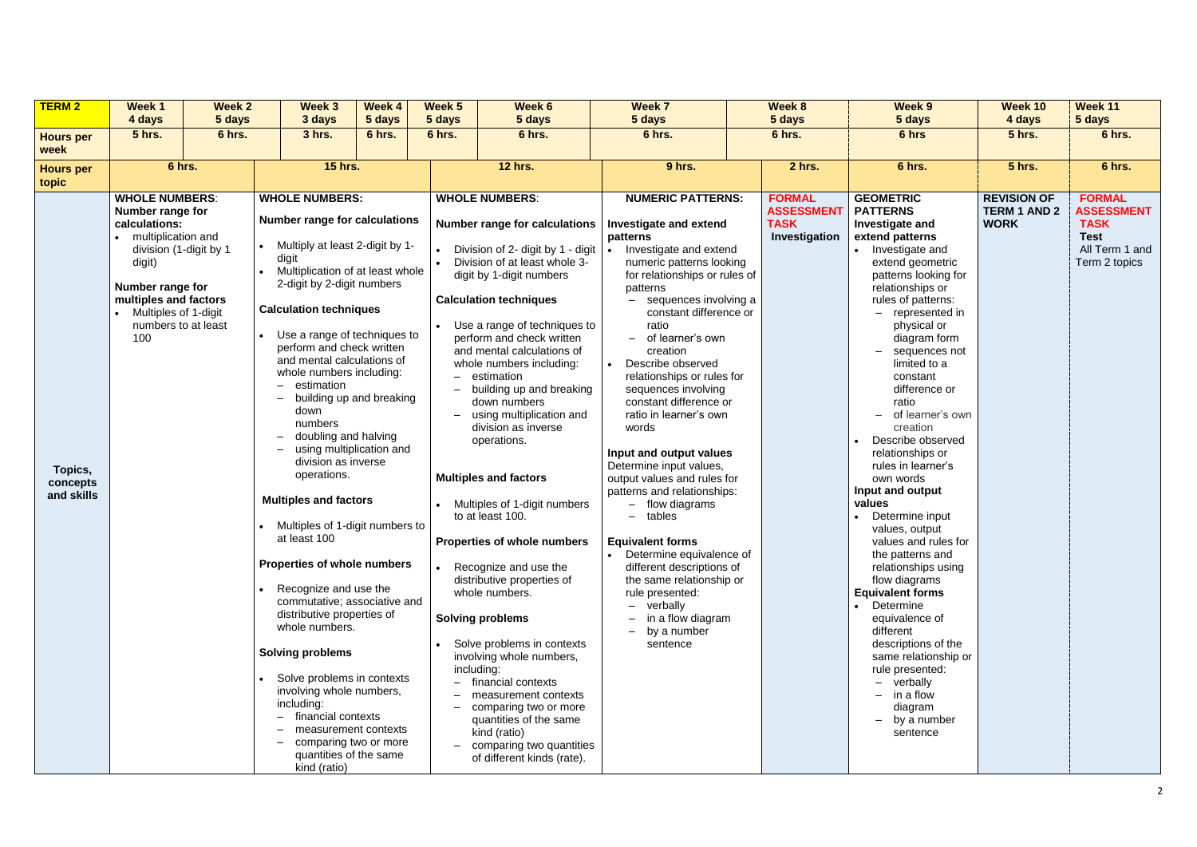| <b>TERM 2</b>                     | Week 1                                                                                                                                                                                                                  | <b>Week 2</b> | <b>Week 3</b>                                                                                                                                                                                                                                                                                                                                                                                                                                                                                                                                                                                                                                                                                                                                                                                                                                                                                                                                   | Week 4 | Week 5     | Week 6                                                                                                                                                                                                                                                                                                                                                                                                                                                                                                                                                                                                                                                                                                                                                                                                                                                                            | Week 7                                                                                                                                                                                                                                                                                                                                                                                                                                                                                                                                                                                                                                                                                                                                                                                                                               | Week 8 |                                                                    | Week 9                                                                                                                                                                                                                                                                                                                                                                                                                                                                                                                                                                                                                                                                                                                                                                                    | Week 10                                                  | Week 11                                                                                             |
|-----------------------------------|-------------------------------------------------------------------------------------------------------------------------------------------------------------------------------------------------------------------------|---------------|-------------------------------------------------------------------------------------------------------------------------------------------------------------------------------------------------------------------------------------------------------------------------------------------------------------------------------------------------------------------------------------------------------------------------------------------------------------------------------------------------------------------------------------------------------------------------------------------------------------------------------------------------------------------------------------------------------------------------------------------------------------------------------------------------------------------------------------------------------------------------------------------------------------------------------------------------|--------|------------|-----------------------------------------------------------------------------------------------------------------------------------------------------------------------------------------------------------------------------------------------------------------------------------------------------------------------------------------------------------------------------------------------------------------------------------------------------------------------------------------------------------------------------------------------------------------------------------------------------------------------------------------------------------------------------------------------------------------------------------------------------------------------------------------------------------------------------------------------------------------------------------|--------------------------------------------------------------------------------------------------------------------------------------------------------------------------------------------------------------------------------------------------------------------------------------------------------------------------------------------------------------------------------------------------------------------------------------------------------------------------------------------------------------------------------------------------------------------------------------------------------------------------------------------------------------------------------------------------------------------------------------------------------------------------------------------------------------------------------------|--------|--------------------------------------------------------------------|-------------------------------------------------------------------------------------------------------------------------------------------------------------------------------------------------------------------------------------------------------------------------------------------------------------------------------------------------------------------------------------------------------------------------------------------------------------------------------------------------------------------------------------------------------------------------------------------------------------------------------------------------------------------------------------------------------------------------------------------------------------------------------------------|----------------------------------------------------------|-----------------------------------------------------------------------------------------------------|
|                                   | 4 days                                                                                                                                                                                                                  | 5 days        | 3 days                                                                                                                                                                                                                                                                                                                                                                                                                                                                                                                                                                                                                                                                                                                                                                                                                                                                                                                                          | 5 days | 5 days     | 5 days                                                                                                                                                                                                                                                                                                                                                                                                                                                                                                                                                                                                                                                                                                                                                                                                                                                                            | 5 days                                                                                                                                                                                                                                                                                                                                                                                                                                                                                                                                                                                                                                                                                                                                                                                                                               |        | 5 days                                                             | 5 days                                                                                                                                                                                                                                                                                                                                                                                                                                                                                                                                                                                                                                                                                                                                                                                    | 4 days                                                   | 5 days                                                                                              |
| <b>Hours per</b><br>week          | <b>5 hrs.</b>                                                                                                                                                                                                           | 6 hrs.        | <b>3 hrs.</b>                                                                                                                                                                                                                                                                                                                                                                                                                                                                                                                                                                                                                                                                                                                                                                                                                                                                                                                                   | 6 hrs. | 6 hrs.     | 6 hrs.                                                                                                                                                                                                                                                                                                                                                                                                                                                                                                                                                                                                                                                                                                                                                                                                                                                                            | 6 hrs.                                                                                                                                                                                                                                                                                                                                                                                                                                                                                                                                                                                                                                                                                                                                                                                                                               |        | 6 hrs.                                                             | 6 hrs                                                                                                                                                                                                                                                                                                                                                                                                                                                                                                                                                                                                                                                                                                                                                                                     | <b>5 hrs.</b>                                            | 6 hrs.                                                                                              |
| <b>Hours per</b><br>topic         | 6 hrs.                                                                                                                                                                                                                  |               | <b>15 hrs.</b>                                                                                                                                                                                                                                                                                                                                                                                                                                                                                                                                                                                                                                                                                                                                                                                                                                                                                                                                  |        |            | <b>12 hrs.</b>                                                                                                                                                                                                                                                                                                                                                                                                                                                                                                                                                                                                                                                                                                                                                                                                                                                                    | 9 hrs.                                                                                                                                                                                                                                                                                                                                                                                                                                                                                                                                                                                                                                                                                                                                                                                                                               |        | 2 hrs.                                                             | 6 hrs.                                                                                                                                                                                                                                                                                                                                                                                                                                                                                                                                                                                                                                                                                                                                                                                    | <b>5 hrs.</b>                                            | 6 hrs.                                                                                              |
| Topics,<br>concepts<br>and skills | <b>WHOLE NUMBERS:</b><br>Number range for<br>calculations:<br>multiplication and<br>division (1-digit by 1<br>digit)<br>Number range for<br>multiples and factors<br>Multiples of 1-digit<br>numbers to at least<br>100 |               | <b>WHOLE NUMBERS:</b><br><b>Number range for calculations</b><br>• Multiply at least 2-digit by 1-<br>digit<br>Multiplication of at least whole<br>2-digit by 2-digit numbers<br><b>Calculation techniques</b><br>Use a range of techniques to<br>perform and check written<br>and mental calculations of<br>whole numbers including:<br>$-$ estimation<br>building up and breaking<br>down<br>numbers<br>doubling and halving<br>using multiplication and<br>$-$<br>division as inverse<br>operations.<br><b>Multiples and factors</b><br>Multiples of 1-digit numbers to<br>at least 100<br><b>Properties of whole numbers</b><br>Recognize and use the<br>commutative; associative and<br>distributive properties of<br>whole numbers.<br><b>Solving problems</b><br>Solve problems in contexts<br>involving whole numbers,<br>including:<br>financial contexts<br>$\overline{\phantom{0}}$<br>measurement contexts<br>comparing two or more |        | including: | <b>WHOLE NUMBERS:</b><br><b>Number range for calculations</b><br>Division of 2- digit by 1 - digit<br>Division of at least whole 3-<br>digit by 1-digit numbers<br><b>Calculation techniques</b><br>Use a range of techniques to<br>perform and check written<br>and mental calculations of<br>whole numbers including:<br>estimation<br>building up and breaking<br>down numbers<br>using multiplication and<br>division as inverse<br>operations.<br><b>Multiples and factors</b><br>Multiples of 1-digit numbers<br>to at least 100.<br>Properties of whole numbers<br>Recognize and use the<br>distributive properties of<br>whole numbers.<br><b>Solving problems</b><br>Solve problems in contexts<br>involving whole numbers,<br>financial contexts<br>measurement contexts<br>comparing two or more<br>quantities of the same<br>kind (ratio)<br>comparing two quantities | <b>NUMERIC PATTERNS:</b><br><b>Investigate and extend</b><br>patterns<br>Investigate and extend<br>numeric patterns looking<br>for relationships or rules of<br>patterns<br>sequences involving a<br>$\equiv$<br>constant difference or<br>ratio<br>of learner's own<br>$\equiv$<br>creation<br>Describe observed<br>relationships or rules for<br>sequences involving<br>constant difference or<br>ratio in learner's own<br>words<br>Input and output values<br>Determine input values,<br>output values and rules for<br>patterns and relationships:<br>- flow diagrams<br>tables<br>$\qquad \qquad -$<br><b>Equivalent forms</b><br>Determine equivalence of<br>different descriptions of<br>the same relationship or<br>rule presented:<br>verbally<br>in a flow diagram<br>by a number<br>$\overline{\phantom{0}}$<br>sentence |        | <b>FORMAL</b><br><b>ASSESSMENT</b><br><b>TASK</b><br>Investigation | <b>GEOMETRIC</b><br><b>PATTERNS</b><br>Investigate and<br>extend patterns<br>Investigate and<br>extend geometric<br>patterns looking for<br>relationships or<br>rules of patterns:<br>- represented in<br>physical or<br>diagram form<br>sequences not<br>limited to a<br>constant<br>difference or<br>ratio<br>of learner's own<br>creation<br>Describe observed<br>relationships or<br>rules in learner's<br>own words<br>Input and output<br>values<br>Determine input<br>values, output<br>values and rules for<br>the patterns and<br>relationships using<br>flow diagrams<br><b>Equivalent forms</b><br>Determine<br>equivalence of<br>different<br>descriptions of the<br>same relationship or<br>rule presented:<br>- verbally<br>in a flow<br>diagram<br>by a number<br>sentence | <b>REVISION OF</b><br><b>TERM 1 AND 2</b><br><b>WORK</b> | <b>FORMAL</b><br><b>ASSESSMENT</b><br><b>TASK</b><br><b>Test</b><br>All Term 1 and<br>Term 2 topics |
|                                   |                                                                                                                                                                                                                         |               | quantities of the same<br>kind (ratio)                                                                                                                                                                                                                                                                                                                                                                                                                                                                                                                                                                                                                                                                                                                                                                                                                                                                                                          |        |            | of different kinds (rate).                                                                                                                                                                                                                                                                                                                                                                                                                                                                                                                                                                                                                                                                                                                                                                                                                                                        |                                                                                                                                                                                                                                                                                                                                                                                                                                                                                                                                                                                                                                                                                                                                                                                                                                      |        |                                                                    |                                                                                                                                                                                                                                                                                                                                                                                                                                                                                                                                                                                                                                                                                                                                                                                           |                                                          |                                                                                                     |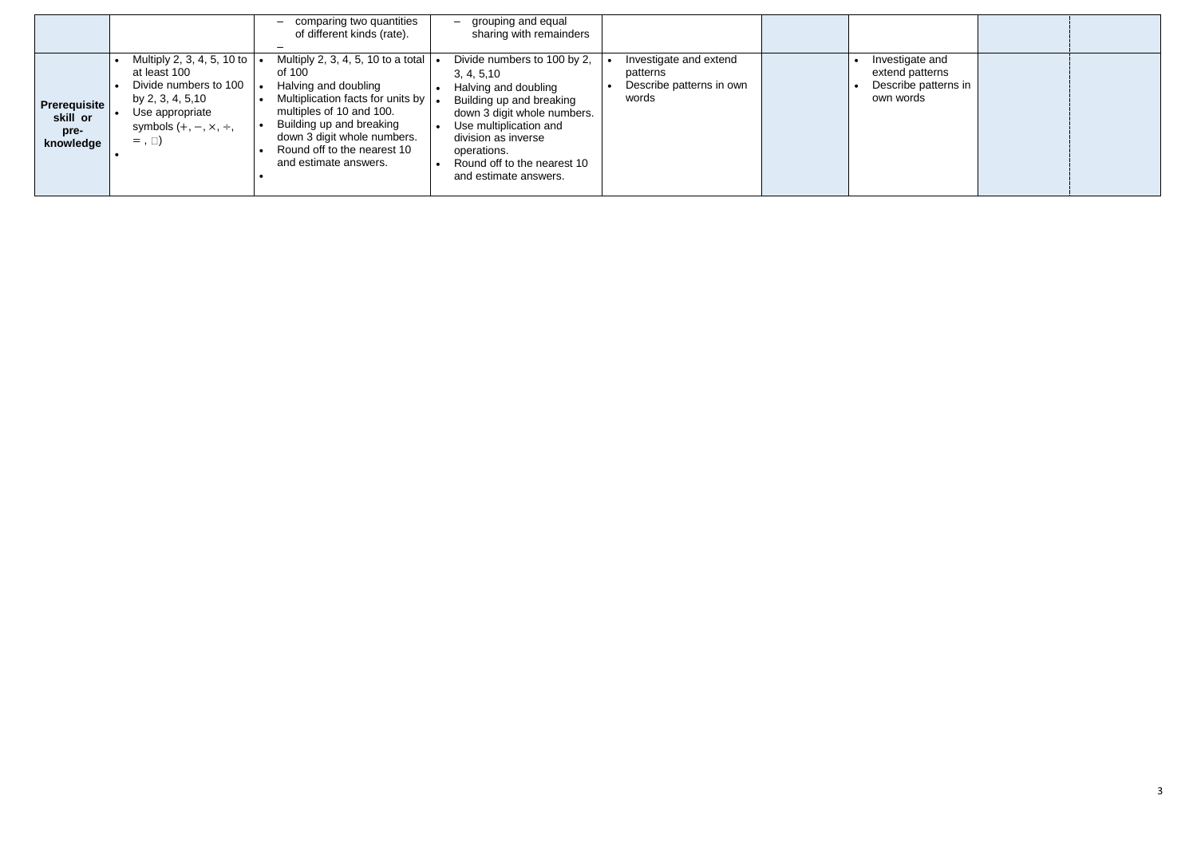|                                                      | comparing two quantities<br>$-$<br>of different kinds (rate).                                                                                                                                                                                                                                                                                                                                                                           | grouping and equal<br>$-$<br>sharing with remainders                                                                                                                                                                                                  |                                                                         |                                                                         |  |
|------------------------------------------------------|-----------------------------------------------------------------------------------------------------------------------------------------------------------------------------------------------------------------------------------------------------------------------------------------------------------------------------------------------------------------------------------------------------------------------------------------|-------------------------------------------------------------------------------------------------------------------------------------------------------------------------------------------------------------------------------------------------------|-------------------------------------------------------------------------|-------------------------------------------------------------------------|--|
| <b>Prerequisite</b><br>skill or<br>pre-<br>knowledge | Multiply 2, 3, 4, 5, 10 to a total $\vert$<br>Multiply 2, 3, 4, 5, 10 to  <br>at least 100<br>of 100<br>Divide numbers to 100<br>Halving and doubling<br>Multiplication facts for units by  .<br>by 2, 3, 4, 5,10<br>multiples of 10 and 100.<br>Use appropriate<br>Building up and breaking<br>symbols $(+, -, \times, \div,$<br>down 3 digit whole numbers.<br>$=$ , $\Box$ )<br>Round off to the nearest 10<br>and estimate answers. | Divide numbers to 100 by 2,<br>3, 4, 5, 10<br>Halving and doubling<br>Building up and breaking<br>down 3 digit whole numbers.<br>Use multiplication and<br>division as inverse<br>operations.<br>Round off to the nearest 10<br>and estimate answers. | Investigate and extend<br>patterns<br>Describe patterns in own<br>words | Investigate and<br>extend patterns<br>Describe patterns in<br>own words |  |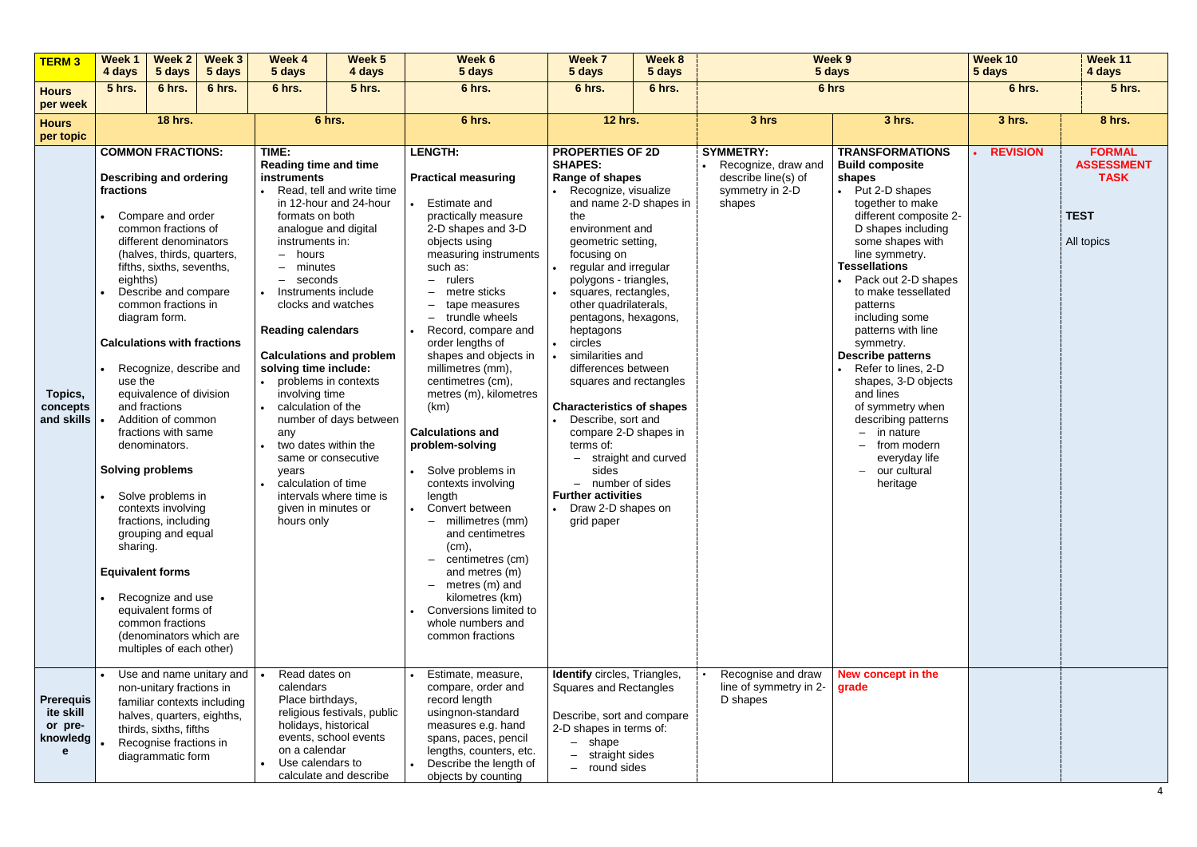| <b>TERM3</b>                                              | Week 1<br>4 days                                                                                                | <b>Week 2</b><br>5 days                                                                                                                                                                                                                                                                                                                                                                                                                                                                                                                                                                                                                                | Week 3<br>5 days                                                | <b>Week 4</b><br>5 days                                                                                                                                                                                                                                                                                                                                                                                       | Week 5<br>4 days                                                                                                                                                                           | Week 6<br>5 days                                                                                                                                                                                                                                                                                                                                                                                                                                                                                                                                                                                                                                                                                                                    | Week 7<br>5 days                                                                                                                                                                                                                                                                                                                                                                                                                                                                                                                                                                                                              | Week 8<br>5 days | Week 9<br>5 days                                                                              |                                                                                                                                                                                                                                                                                                                                                                                                                                                                                                                                                                              | Week 10<br>5 days | Week 11<br>4 days                                                              |
|-----------------------------------------------------------|-----------------------------------------------------------------------------------------------------------------|--------------------------------------------------------------------------------------------------------------------------------------------------------------------------------------------------------------------------------------------------------------------------------------------------------------------------------------------------------------------------------------------------------------------------------------------------------------------------------------------------------------------------------------------------------------------------------------------------------------------------------------------------------|-----------------------------------------------------------------|---------------------------------------------------------------------------------------------------------------------------------------------------------------------------------------------------------------------------------------------------------------------------------------------------------------------------------------------------------------------------------------------------------------|--------------------------------------------------------------------------------------------------------------------------------------------------------------------------------------------|-------------------------------------------------------------------------------------------------------------------------------------------------------------------------------------------------------------------------------------------------------------------------------------------------------------------------------------------------------------------------------------------------------------------------------------------------------------------------------------------------------------------------------------------------------------------------------------------------------------------------------------------------------------------------------------------------------------------------------------|-------------------------------------------------------------------------------------------------------------------------------------------------------------------------------------------------------------------------------------------------------------------------------------------------------------------------------------------------------------------------------------------------------------------------------------------------------------------------------------------------------------------------------------------------------------------------------------------------------------------------------|------------------|-----------------------------------------------------------------------------------------------|------------------------------------------------------------------------------------------------------------------------------------------------------------------------------------------------------------------------------------------------------------------------------------------------------------------------------------------------------------------------------------------------------------------------------------------------------------------------------------------------------------------------------------------------------------------------------|-------------------|--------------------------------------------------------------------------------|
| <b>Hours</b>                                              | <b>5 hrs.</b>                                                                                                   | 6 hrs.                                                                                                                                                                                                                                                                                                                                                                                                                                                                                                                                                                                                                                                 | 6 hrs.                                                          | 6 hrs.                                                                                                                                                                                                                                                                                                                                                                                                        | <b>5 hrs.</b>                                                                                                                                                                              | 6 hrs.                                                                                                                                                                                                                                                                                                                                                                                                                                                                                                                                                                                                                                                                                                                              | 6 hrs.                                                                                                                                                                                                                                                                                                                                                                                                                                                                                                                                                                                                                        | 6 hrs.           |                                                                                               | 6 hrs                                                                                                                                                                                                                                                                                                                                                                                                                                                                                                                                                                        | 6 hrs.            | <b>5 hrs.</b>                                                                  |
| per week                                                  |                                                                                                                 |                                                                                                                                                                                                                                                                                                                                                                                                                                                                                                                                                                                                                                                        |                                                                 |                                                                                                                                                                                                                                                                                                                                                                                                               |                                                                                                                                                                                            |                                                                                                                                                                                                                                                                                                                                                                                                                                                                                                                                                                                                                                                                                                                                     |                                                                                                                                                                                                                                                                                                                                                                                                                                                                                                                                                                                                                               |                  |                                                                                               |                                                                                                                                                                                                                                                                                                                                                                                                                                                                                                                                                                              |                   |                                                                                |
| <b>Hours</b><br>per topic                                 |                                                                                                                 | <b>18 hrs.</b>                                                                                                                                                                                                                                                                                                                                                                                                                                                                                                                                                                                                                                         |                                                                 |                                                                                                                                                                                                                                                                                                                                                                                                               | 6 hrs.                                                                                                                                                                                     | 6 hrs.                                                                                                                                                                                                                                                                                                                                                                                                                                                                                                                                                                                                                                                                                                                              | <b>12 hrs.</b>                                                                                                                                                                                                                                                                                                                                                                                                                                                                                                                                                                                                                |                  | 3 hrs                                                                                         | 3 hrs.                                                                                                                                                                                                                                                                                                                                                                                                                                                                                                                                                                       | 3 hrs.            | 8 hrs.                                                                         |
| Topics,<br>concepts<br>and skills                         | fractions<br>eighths)<br>use the<br><b>Solving problems</b><br>$\bullet$<br>sharing.<br><b>Equivalent forms</b> | <b>COMMON FRACTIONS:</b><br><b>Describing and ordering</b><br>Compare and order<br>common fractions of<br>different denominators<br>(halves, thirds, quarters,<br>fifths, sixths, sevenths,<br>Describe and compare<br>common fractions in<br>diagram form.<br><b>Calculations with fractions</b><br>Recognize, describe and<br>equivalence of division<br>and fractions<br>Addition of common<br>fractions with same<br>denominators.<br>Solve problems in<br>contexts involving<br>fractions, including<br>grouping and equal<br>Recognize and use<br>equivalent forms of<br>common fractions<br>(denominators which are<br>multiples of each other) |                                                                 | TIME:<br><b>Reading time and time</b><br>instruments<br>formats on both<br>instruments in:<br>hours<br>$-$<br>minutes<br>seconds<br>-<br>Instruments include<br>clocks and watches<br><b>Reading calendars</b><br>solving time include:<br>• problems in contexts<br>involving time<br>calculation of the<br>any<br>two dates within the<br>years<br>calculation of time<br>given in minutes or<br>hours only | Read, tell and write time<br>in 12-hour and 24-hour<br>analogue and digital<br><b>Calculations and problem</b><br>number of days between<br>same or consecutive<br>intervals where time is | <b>LENGTH:</b><br><b>Practical measuring</b><br><b>Estimate and</b><br>practically measure<br>2-D shapes and 3-D<br>objects using<br>measuring instruments<br>such as:<br>$-$ rulers<br>metre sticks<br>tape measures<br>$-$<br>$-$ trundle wheels<br>Record, compare and<br>order lengths of<br>shapes and objects in<br>millimetres (mm),<br>centimetres (cm),<br>metres (m), kilometres<br>(km)<br><b>Calculations and</b><br>problem-solving<br>• Solve problems in<br>contexts involving<br>length<br>Convert between<br>millimetres (mm)<br>and centimetres<br>(cm),<br>centimetres (cm)<br>$-$<br>and metres (m)<br>$-$ metres (m) and<br>kilometres (km)<br>Conversions limited to<br>whole numbers and<br>common fractions | <b>PROPERTIES OF 2D</b><br><b>SHAPES:</b><br>Range of shapes<br>Recognize, visualize<br>and name 2-D shapes in<br>the<br>environment and<br>geometric setting,<br>focusing on<br>regular and irregular<br>polygons - triangles,<br>squares, rectangles,<br>other quadrilaterals,<br>pentagons, hexagons,<br>heptagons<br>circles<br>similarities and<br>differences between<br>squares and rectangles<br><b>Characteristics of shapes</b><br>Describe, sort and<br>compare 2-D shapes in<br>terms of:<br>- straight and curved<br>sides<br>- number of sides<br><b>Further activities</b><br>Draw 2-D shapes on<br>grid paper |                  | <b>SYMMETRY:</b><br>• Recognize, draw and<br>describe line(s) of<br>symmetry in 2-D<br>shapes | <b>TRANSFORMATIONS</b><br><b>Build composite</b><br>shapes<br>• Put 2-D shapes<br>together to make<br>different composite 2-<br>D shapes including<br>some shapes with<br>line symmetry.<br><b>Tessellations</b><br>Pack out 2-D shapes<br>to make tessellated<br>patterns<br>including some<br>patterns with line<br>symmetry.<br><b>Describe patterns</b><br>• Refer to lines, 2-D<br>shapes, 3-D objects<br>and lines<br>of symmetry when<br>describing patterns<br>$-$ in nature<br>from modern<br>everyday life<br>our cultural<br>$\overline{\phantom{m}}$<br>heritage | <b>REVISION</b>   | <b>FORMAL</b><br><b>ASSESSMENT</b><br><b>TASK</b><br><b>TEST</b><br>All topics |
| <b>Prerequis</b><br>ite skill<br>or pre-<br>knowledg<br>е |                                                                                                                 | non-unitary fractions in<br>halves, quarters, eighths,<br>thirds, sixths, fifths<br>Recognise fractions in<br>diagrammatic form                                                                                                                                                                                                                                                                                                                                                                                                                                                                                                                        | Use and name unitary and $\vert$<br>familiar contexts including | Read dates on<br>calendars<br>Place birthdays,<br>holidays, historical<br>on a calendar<br>Use calendars to                                                                                                                                                                                                                                                                                                   | religious festivals, public<br>events, school events<br>calculate and describe                                                                                                             | Estimate, measure,<br>compare, order and<br>record length<br>usingnon-standard<br>measures e.g. hand<br>spans, paces, pencil<br>lengths, counters, etc.<br>Describe the length of<br>objects by counting                                                                                                                                                                                                                                                                                                                                                                                                                                                                                                                            | <b>Identify</b> circles, Triangles,<br>Squares and Rectangles<br>Describe, sort and compare<br>2-D shapes in terms of:<br>$-$ shape<br>straight sides<br>round sides                                                                                                                                                                                                                                                                                                                                                                                                                                                          |                  | Recognise and draw<br>line of symmetry in 2-<br>D shapes                                      | New concept in the<br>grade                                                                                                                                                                                                                                                                                                                                                                                                                                                                                                                                                  |                   |                                                                                |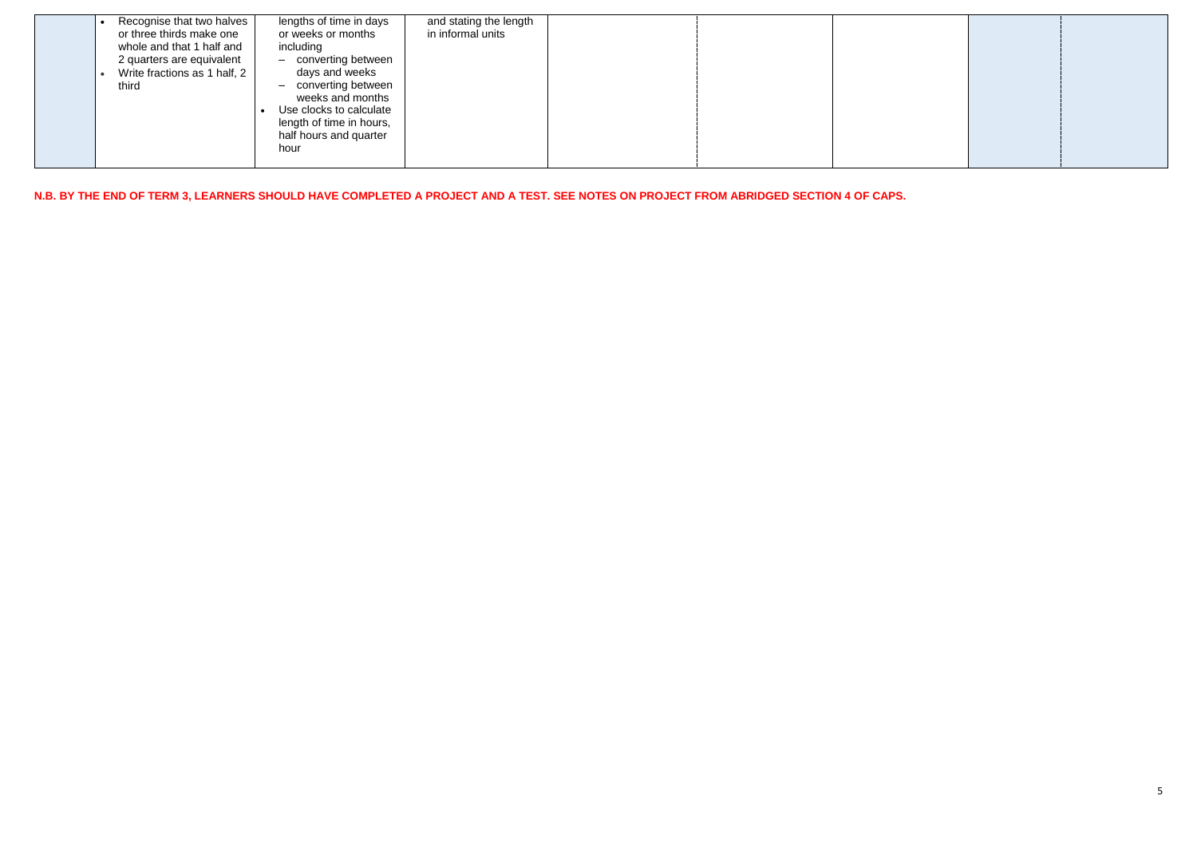|  | Recognise that two halves<br>or three thirds make one<br>whole and that 1 half and<br>2 quarters are equivalent<br>Write fractions as 1 half, 2<br>third | lengths of time in days<br>or weeks or months<br>including<br>- converting between<br>days and weeks<br>- converting between<br>weeks and months<br>Use clocks to calculate<br>length of time in hours,<br>half hours and quarter<br>hour | and stating the length<br>in informal units |  |  |  |
|--|----------------------------------------------------------------------------------------------------------------------------------------------------------|-------------------------------------------------------------------------------------------------------------------------------------------------------------------------------------------------------------------------------------------|---------------------------------------------|--|--|--|
|--|----------------------------------------------------------------------------------------------------------------------------------------------------------|-------------------------------------------------------------------------------------------------------------------------------------------------------------------------------------------------------------------------------------------|---------------------------------------------|--|--|--|

**N.B. BY THE END OF TERM 3, LEARNERS SHOULD HAVE COMPLETED A PROJECT AND A TEST. SEE NOTES ON PROJECT FROM ABRIDGED SECTION 4 OF CAPS.**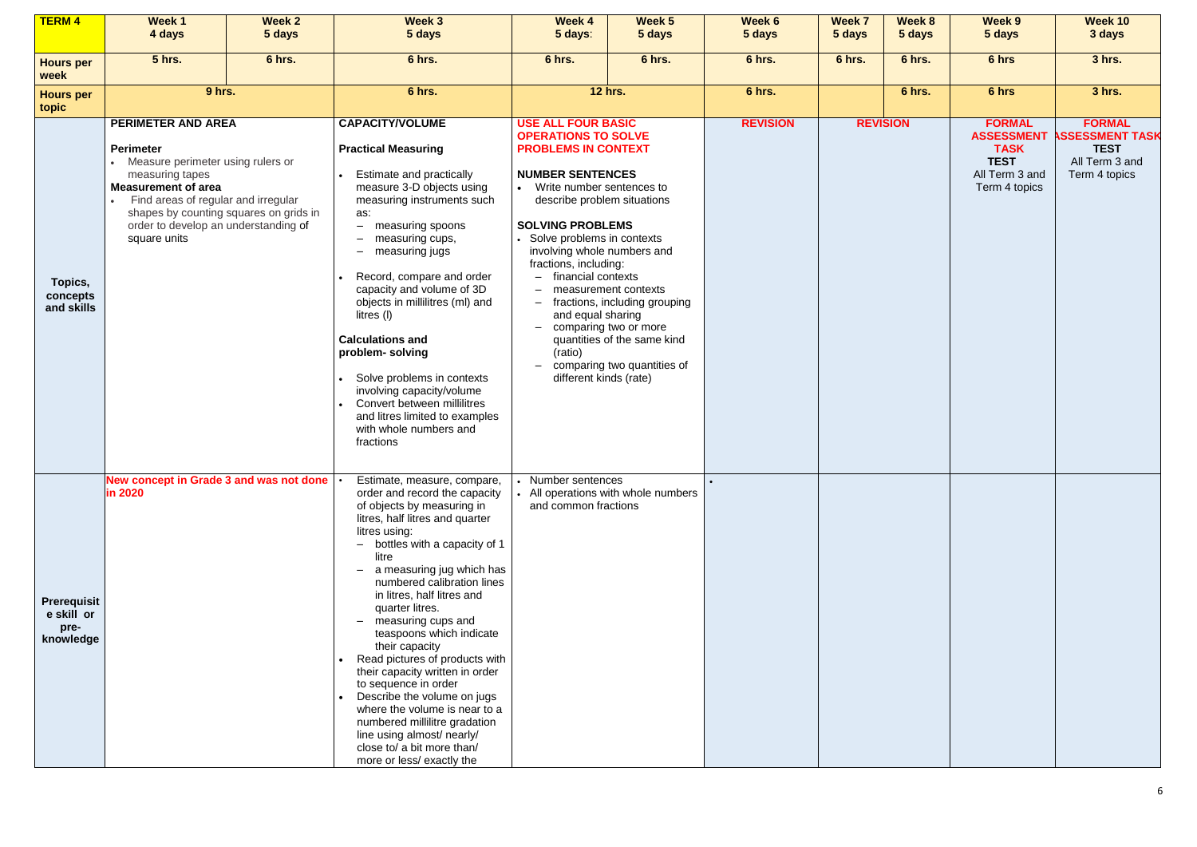| <b>TERM4</b>                                          | Week 1<br>4 days                                                                                                                                                                                                                                                        | Week 2<br>5 days | Week 3<br>5 days                                                                                                                                                                                                                                                                                                                                                                                                                                                                                                                                                                                                                                                                                                                                                                                                                                                                                                                                                                                                                                                                                        | <b>Week 4</b><br>5 days: | Week 5<br>5 days                                                                      | Week 6<br>5 days | Week 7<br>5 days                    | Week 8<br>5 days | Week 9<br>5 days | <b>Week 10</b><br>3 days |  |                 |                                                                                                     |                                                                                          |
|-------------------------------------------------------|-------------------------------------------------------------------------------------------------------------------------------------------------------------------------------------------------------------------------------------------------------------------------|------------------|---------------------------------------------------------------------------------------------------------------------------------------------------------------------------------------------------------------------------------------------------------------------------------------------------------------------------------------------------------------------------------------------------------------------------------------------------------------------------------------------------------------------------------------------------------------------------------------------------------------------------------------------------------------------------------------------------------------------------------------------------------------------------------------------------------------------------------------------------------------------------------------------------------------------------------------------------------------------------------------------------------------------------------------------------------------------------------------------------------|--------------------------|---------------------------------------------------------------------------------------|------------------|-------------------------------------|------------------|------------------|--------------------------|--|-----------------|-----------------------------------------------------------------------------------------------------|------------------------------------------------------------------------------------------|
| <b>Hours per</b><br>week                              | <b>5 hrs.</b>                                                                                                                                                                                                                                                           | 6 hrs.           | 6 hrs.                                                                                                                                                                                                                                                                                                                                                                                                                                                                                                                                                                                                                                                                                                                                                                                                                                                                                                                                                                                                                                                                                                  | 6 hrs.                   | 6 hrs.                                                                                | 6 hrs.           | 6 hrs.                              | 6 hrs.           | 6 hrs            | 3 hrs.                   |  |                 |                                                                                                     |                                                                                          |
| <b>Hours per</b><br>topic                             | 9 hrs.                                                                                                                                                                                                                                                                  |                  | 6 hrs.                                                                                                                                                                                                                                                                                                                                                                                                                                                                                                                                                                                                                                                                                                                                                                                                                                                                                                                                                                                                                                                                                                  |                          | <b>12 hrs.</b>                                                                        | 6 hrs.           |                                     | 6 hrs.           | 6 hrs            | 3 hrs.                   |  |                 |                                                                                                     |                                                                                          |
| Topics,<br>concepts<br>and skills                     | PERIMETER AND AREA<br><b>Perimeter</b><br>• Measure perimeter using rulers or<br>measuring tapes<br><b>Measurement of area</b><br>Find areas of regular and irregular<br>shapes by counting squares on grids in<br>order to develop an understanding of<br>square units |                  | <b>Practical Measuring</b><br><b>NUMBER SENTENCES</b><br>Estimate and practically<br>measure 3-D objects using<br>• Write number sentences to<br>measuring instruments such<br>describe problem situations<br>as:<br><b>SOLVING PROBLEMS</b><br>measuring spoons<br>$-$<br>• Solve problems in contexts<br>measuring cups,<br>$\overline{\phantom{m}}$<br>involving whole numbers and<br>measuring jugs<br>$\overline{\phantom{m}}$<br>fractions, including:<br>Record, compare and order<br>financial contexts<br>capacity and volume of 3D<br>measurement contexts<br>objects in millilitres (ml) and<br>fractions, including grouping<br>$\qquad \qquad -$<br>and equal sharing<br>litres (l)<br>comparing two or more<br>$-$<br><b>Calculations and</b><br>quantities of the same kind<br>(ratio)<br>problem-solving<br>comparing two quantities of<br>Solve problems in contexts<br>different kinds (rate)<br>involving capacity/volume<br>Convert between millilitres<br>and litres limited to examples<br>with whole numbers and<br>fractions<br>Number sentences<br>Estimate, measure, compare, |                          | <b>USE ALL FOUR BASIC</b><br><b>OPERATIONS TO SOLVE</b><br><b>PROBLEMS IN CONTEXT</b> |                  | • All operations with whole numbers |                  |                  |                          |  | <b>REVISION</b> | <b>FORMAL</b><br><b>ASSESSMENT</b><br><b>TASK</b><br><b>TEST</b><br>All Term 3 and<br>Term 4 topics | <b>FORMAL</b><br><b>SSESSMENT TASK</b><br><b>TEST</b><br>All Term 3 and<br>Term 4 topics |
| <b>Prerequisit</b><br>e skill or<br>pre-<br>knowledge | New concept in Grade 3 and was not done<br><b>in 2020</b>                                                                                                                                                                                                               |                  | order and record the capacity<br>of objects by measuring in<br>litres, half litres and quarter<br>litres using:<br>- bottles with a capacity of 1<br>litre<br>a measuring jug which has<br>$\qquad \qquad -$<br>numbered calibration lines<br>in litres, half litres and<br>quarter litres.<br>measuring cups and<br>$\overline{\phantom{m}}$<br>teaspoons which indicate<br>their capacity<br>Read pictures of products with<br>their capacity written in order<br>to sequence in order<br>Describe the volume on jugs<br>where the volume is near to a<br>numbered millilitre gradation<br>line using almost/ nearly/<br>close to/ a bit more than/<br>more or less/ exactly the                                                                                                                                                                                                                                                                                                                                                                                                                      | and common fractions     |                                                                                       |                  |                                     |                  |                  |                          |  |                 |                                                                                                     |                                                                                          |